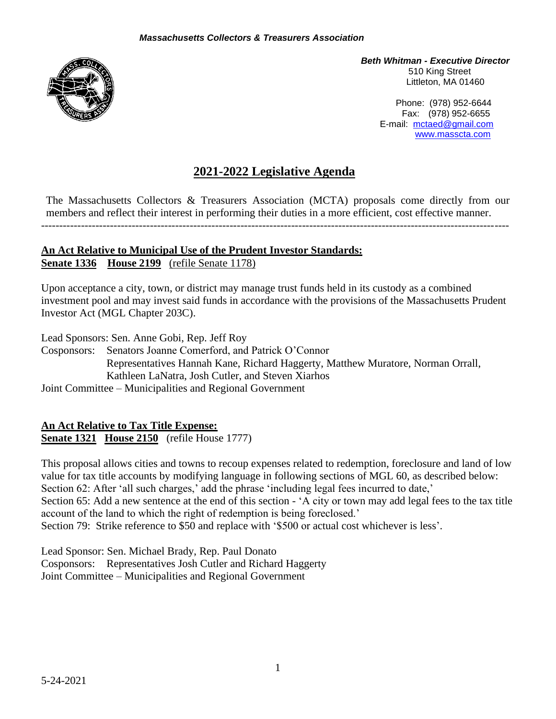

*Beth Whitman - Executive Director* 510 King Street Littleton, MA 01460

> Phone: (978) 952-6644 Fax: (978) 952-6655 E-mail: [mctaed@gmail.com](mailto:mctaed@gmail.com) [www.masscta.com](http://www.masscta.com/)

# **2021-2022 Legislative Agenda**

The Massachusetts Collectors & Treasurers Association (MCTA) proposals come directly from our members and reflect their interest in performing their duties in a more efficient, cost effective manner.

---------------------------------------------------------------------------------------------------------------------------------

#### **An Act Relative to Municipal Use of the Prudent Investor Standards: Senate 1336 House 2199** (refile Senate 1178)

Upon acceptance a city, town, or district may manage trust funds held in its custody as a combined investment pool and may invest said funds in accordance with the provisions of the Massachusetts Prudent Investor Act (MGL Chapter 203C).

Lead Sponsors: Sen. Anne Gobi, Rep. Jeff Roy

Cosponsors: Senators Joanne Comerford, and Patrick O'Connor Representatives Hannah Kane, Richard Haggerty, Matthew Muratore, Norman Orrall, Kathleen LaNatra, Josh Cutler, and Steven Xiarhos Joint Committee – Municipalities and Regional Government

**An Act Relative to Tax Title Expense: Senate 1321 House 2150** (refile House 1777)

This proposal allows cities and towns to recoup expenses related to redemption, foreclosure and land of low value for tax title accounts by modifying language in following sections of MGL 60, as described below: Section 62: After 'all such charges,' add the phrase 'including legal fees incurred to date,' Section 65: Add a new sentence at the end of this section - 'A city or town may add legal fees to the tax title account of the land to which the right of redemption is being foreclosed.' Section 79: Strike reference to \$50 and replace with '\$500 or actual cost whichever is less'.

Lead Sponsor: Sen. Michael Brady, Rep. Paul Donato Cosponsors: Representatives Josh Cutler and Richard Haggerty Joint Committee – Municipalities and Regional Government